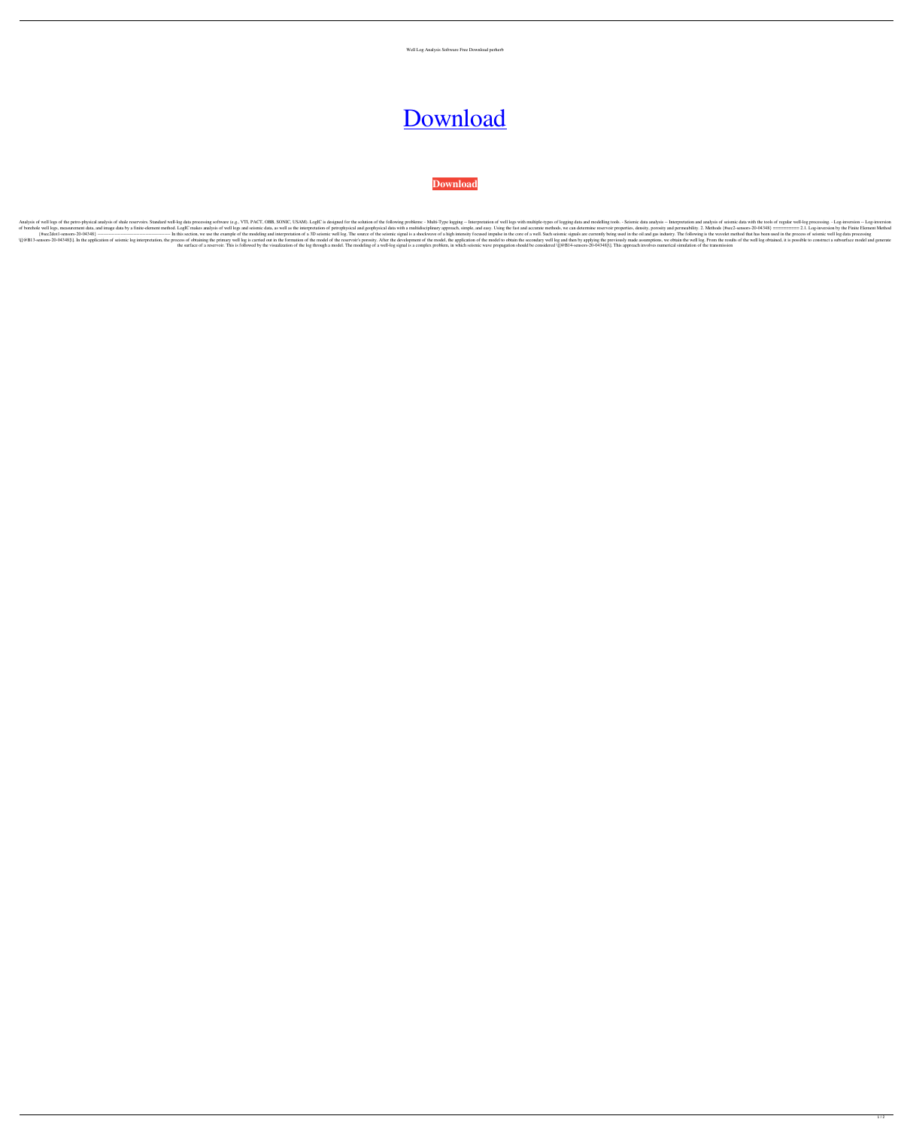Well Log Analysis Software Free Download perherb

## [Download](http://evacdir.com/beginnings/jealousies/punch.sponsorships.thirunallar.precambrian/ZG93bmxvYWR8YzdJTWpOM2ZId3hOalV5TkRZek1EVXdmSHd5TlRjMGZId29UU2tnY21WaFpDMWliRzluSUZ0R1lYTjBJRWRGVGww.V2VsbCBMb2cgQW5hbHlzaXMgU29mdHdhcmUgRnJlZSBEb3dubG9hZAV2V)

**[Download](http://evacdir.com/beginnings/jealousies/punch.sponsorships.thirunallar.precambrian/ZG93bmxvYWR8YzdJTWpOM2ZId3hOalV5TkRZek1EVXdmSHd5TlRjMGZId29UU2tnY21WaFpDMWliRzluSUZ0R1lYTjBJRWRGVGww.V2VsbCBMb2cgQW5hbHlzaXMgU29mdHdhcmUgRnJlZSBEb3dubG9hZAV2V)**

Analysis of well logs of the petro-physical analysis of shale reservoirs. Standard well-log data processing software (e.g., VTI, PACT, OBB, SONIC, USAM). LogIC is designed for the solution of well logs with multiple-types of borehole well logs, measurement data, and image data by a finite-element method. LogIC makes analysis of well logs and seismic data, as well as the interpretation of petrophysical and geophysical and geophysical and geo {#sec2dot1-sensors-20-04348} ----------------------------------------------- In this section, we use the example of the modeling and interpretation of a 3D seismic well log. The source of the seismic signal is a shockwave of a high intensity focused impulse in the core of a well. Such seismic signals are currently being used in the oil and gas industry. The following is the wavelet method that has been used in the process of seismic well log data processing I[@B13-sensors-20-04348]\]. In the application of seismic log interpretation, the process of obtaining the primary well log is carried out in the formation of the model of the reservoir's porosity. After the development of the surface of a reservoir. This is followed by the visualization of the log through a model. The modeling of a well-log signal is a complex problem, in which seismic wave propagation should be considered \[[@B14-sensors-2